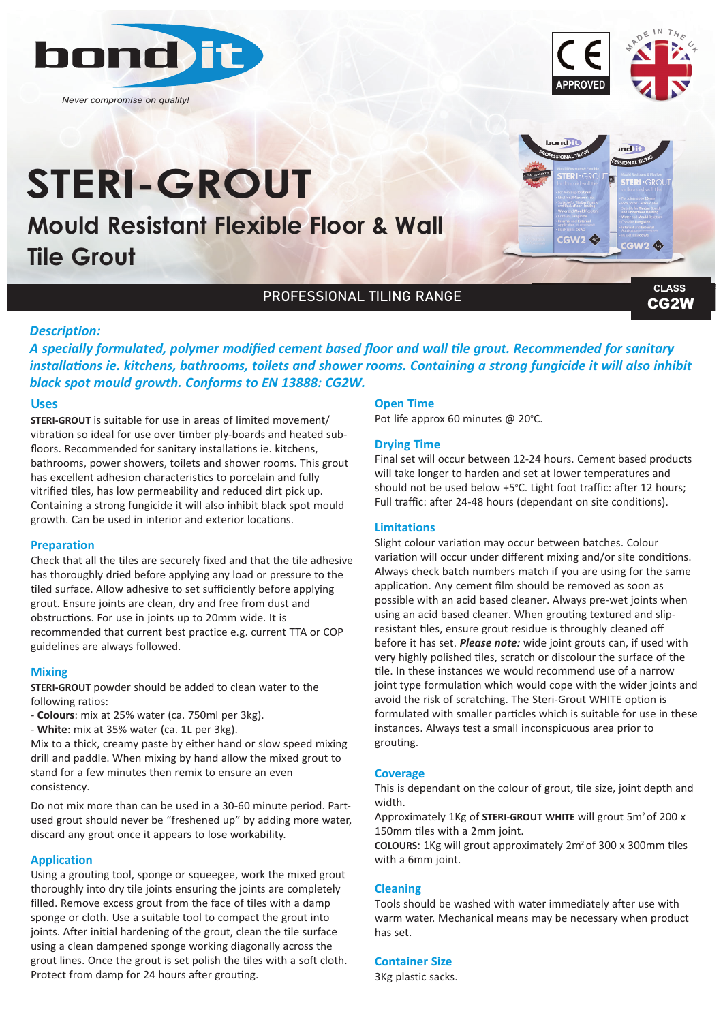

*Never compromise on quality!*

# **Mould Resistant Flexible Floor & Wall Tile Grout STERI-GROUT**



**APPROVED**

CG2W **CLASS**

# PROFESSIONAL TILING RANGE

## *Description:*

*A specially formulated, polymer modified cement based floor and wall tile grout. Recommended for sanitary installations ie. kitchens, bathrooms, toilets and shower rooms. Containing a strong fungicide it will also inhibit black spot mould growth. Conforms to EN 13888: CG2W.*

## **Uses**

**STERI-GROUT** is suitable for use in areas of limited movement/ vibration so ideal for use over timber ply-boards and heated subfloors. Recommended for sanitary installations ie. kitchens, bathrooms, power showers, toilets and shower rooms. This grout has excellent adhesion characteristics to porcelain and fully vitrified tiles, has low permeability and reduced dirt pick up. Containing a strong fungicide it will also inhibit black spot mould growth. Can be used in interior and exterior locations.

## **Preparation**

Check that all the tiles are securely fixed and that the tile adhesive has thoroughly dried before applying any load or pressure to the tiled surface. Allow adhesive to set sufficiently before applying grout. Ensure joints are clean, dry and free from dust and obstructions. For use in joints up to 20mm wide. It is recommended that current best practice e.g. current TTA or COP guidelines are always followed.

## **Mixing**

**STERI-GROUT** powder should be added to clean water to the following ratios:

- **Colours**: mix at 25% water (ca. 750ml per 3kg).
- **White**: mix at 35% water (ca. 1L per 3kg).

Mix to a thick, creamy paste by either hand or slow speed mixing drill and paddle. When mixing by hand allow the mixed grout to stand for a few minutes then remix to ensure an even consistency.

Do not mix more than can be used in a 30-60 minute period. Partused grout should never be "freshened up" by adding more water, discard any grout once it appears to lose workability.

#### **Application**

Using a grouting tool, sponge or squeegee, work the mixed grout thoroughly into dry tile joints ensuring the joints are completely filled. Remove excess grout from the face of tiles with a damp sponge or cloth. Use a suitable tool to compact the grout into joints. After initial hardening of the grout, clean the tile surface using a clean dampened sponge working diagonally across the grout lines. Once the grout is set polish the tiles with a soft cloth. Protect from damp for 24 hours after grouting.

#### **Open Time**

Pot life approx 60 minutes @ 20°C.

## **Drying Time**

Final set will occur between 12-24 hours. Cement based products will take longer to harden and set at lower temperatures and should not be used below +5°C. Light foot traffic: after 12 hours; Full traffic: after 24-48 hours (dependant on site conditions).

#### **Limitations**

Slight colour variation may occur between batches. Colour variation will occur under different mixing and/or site conditions. Always check batch numbers match if you are using for the same application. Any cement film should be removed as soon as possible with an acid based cleaner. Always pre-wet joints when using an acid based cleaner. When grouting textured and slipresistant tiles, ensure grout residue is throughly cleaned off before it has set. *Please note:* wide joint grouts can, if used with very highly polished tiles, scratch or discolour the surface of the tile. In these instances we would recommend use of a narrow joint type formulation which would cope with the wider joints and avoid the risk of scratching. The Steri-Grout WHITE option is formulated with smaller particles which is suitable for use in these instances. Always test a small inconspicuous area prior to grouting.

#### **Coverage**

This is dependant on the colour of grout, tile size, joint depth and width.

Approximately 1Kg of **STERI-GROUT WHITE** will grout 5m<sup>2</sup> of 200 x 150mm tiles with a 2mm joint.

**COLOURS**: 1Kg will grout approximately 2m2 of 300 x 300mm tiles with a 6mm joint.

#### **Cleaning**

Tools should be washed with water immediately after use with warm water. Mechanical means may be necessary when product has set.

## **Container Size**

3Kg plastic sacks.